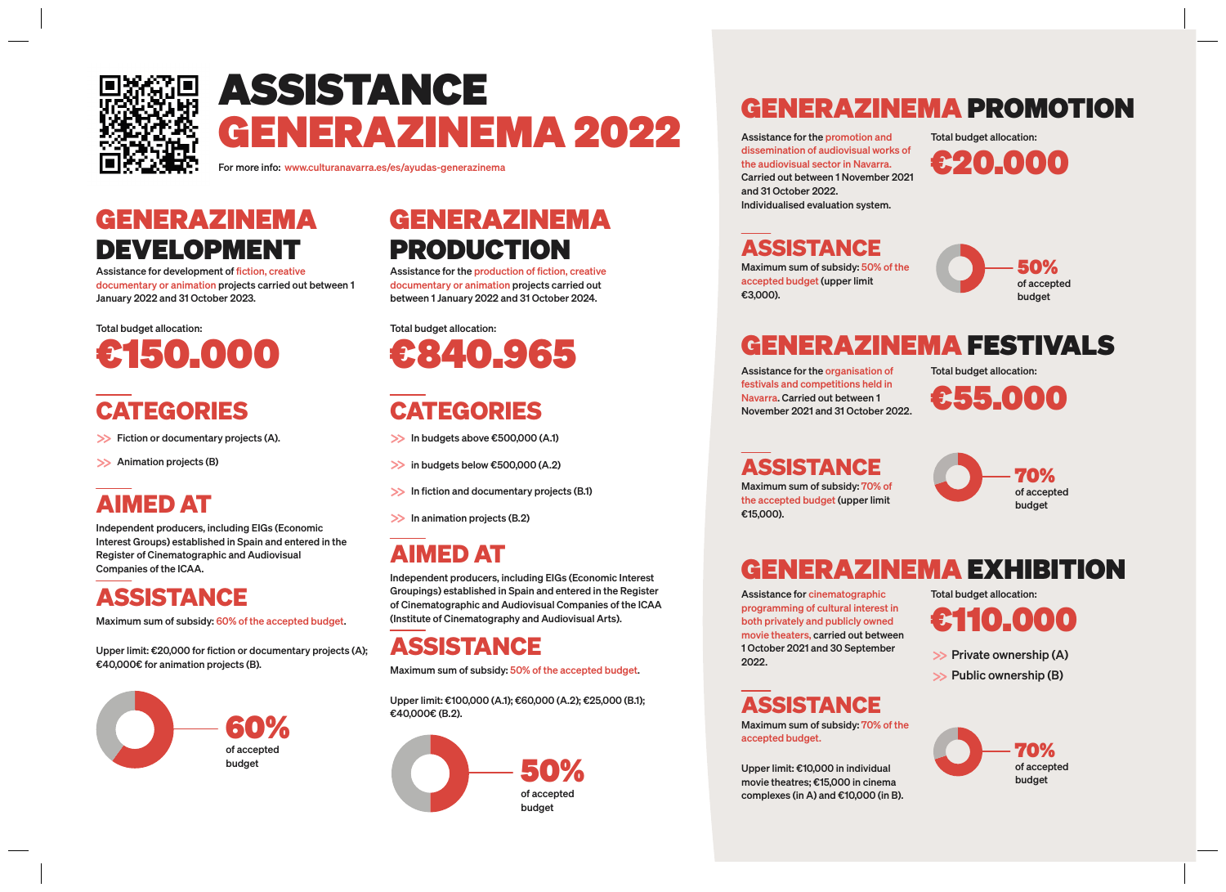

## **ASSISTANCE GENERAZINEMA 2022**

For more info: www.culturanavarra.es/es/ayudas-generazinema

### **GENERAZINEMA DEVELOPMENT**

Assistance for development of fiction, creative documentary or animation projects carried out between 1 January 2022 and 31 October 2023.

Total budget allocation:

## **CATEGORIES CATEGORIES**

>> Fiction or documentary projects (A). In budgets above €500,000 (A.1)

>> Animation projects (B)

### **AIMED AT**

Independent producers, including EIGs (Economic Interest Groups) established in Spain and entered in the Register of Cinematographic and Audiovisual Companies of the ICAA.

### **ASSISTANCE**

Maximum sum of subsidy: 60% of the accepted budget.

Upper limit: €20,000 for fiction or documentary projects (A); €40,000€ for animation projects (B). Maximum sum of subsidy: 50% of the accepted budget.



### **GENERAZINEMA PRODUCTION**

Assistance for the production of fiction, creative documentary or animation projects carried out between 1 January 2022 and 31 October 2024.

Total budget allocation:



 $\gg$  in budgets below  $\epsilon$ 500,000 (A.2)

 $\gg$  In fiction and documentary projects (B.1)

 $\gg$  In animation projects (B.2)

### **AIMED AT**

Independent producers, including EIGs (Economic Interest Groupings) established in Spain and entered in the Register of Cinematographic and Audiovisual Companies of the ICAA (Institute of Cinematography and Audiovisual Arts).

#### **ASSISTANCE**

Upper limit: €100,000 (A.1); €60,000 (A.2); €25,000 (B.1); €40,000€ (B.2).



#### **GENERAZINEMA PROMOTION**

Assistance for the promotion and dissemination of audiovisual works of the audiovisual sector in Navarra. Carried out between 1 November 2021 and 31 October 2022. Individualised evaluation system.

Total budget allocation:



**ASSISTANCE**

Maximum sum of subsidy: 50% of the accepted budget (upper limit €3,000).



### **GENERAZINEMA FESTIVALS**

Assistance for the organisation of festivals and competitions held in Navarra. Carried out between 1 November 2021 and 31 October 2022. Total budget allocation:

**€55.000**

Maximum sum of subsidy: 70% of the accepted budget (upper limit €15,000). **ASSISTANCE**



## **GENERAZINEMA EXHIBITION**

Assistance for cinematographic programming of cultural interest in both privately and publicly owned movie theaters, carried out between 1 October 2021 and 30 September 2022.

#### **ASSISTANCE**

Maximum sum of subsidy: 70% of the accepted budget.

Upper limit: €10,000 in individual movie theatres; €15,000 in cinema complexes (in A) and €10,000 (in B). Total budget allocation:

**€110.000**

- $\gg$  Private ownership (A)
- $\gg$  Public ownership (B)